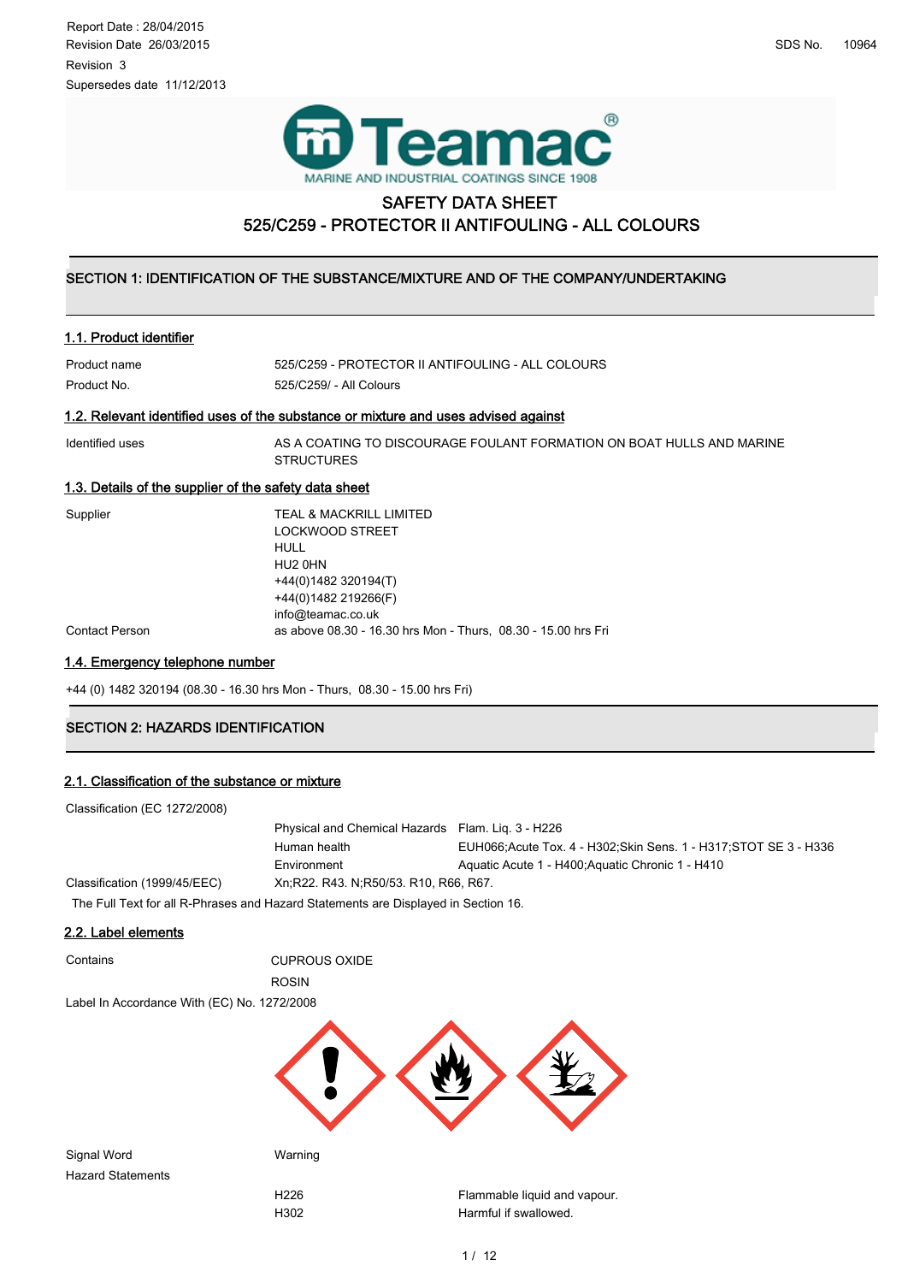



## SAFETY DATA SHEET 525/C259 - PROTECTOR II ANTIFOULING - ALL COLOURS

#### ١  $\overline{ }$ SECTION 1: IDENTIFICATION OF THE SUBSTANCE/MIXTURE AND OF THE COMPANY/UNDERTAKING

#### 1.1. Product identifier

| Product name | 525/C259 - PROTECTOR II ANTIFOULING - ALL COLOURS |
|--------------|---------------------------------------------------|
| Product No.  | 525/C259/ - All Colours                           |

## 1.2. Relevant identified uses of the substance or mixture and uses advised against

Identified uses AS A COATING TO DISCOURAGE FOULANT FORMATION ON BOAT HULLS AND MARINE **STRUCTURES** 

### 1.3. Details of the supplier of the safety data sheet

| Supplier       | TEAL & MACKRILL LIMITED                                       |
|----------------|---------------------------------------------------------------|
|                | <b>LOCKWOOD STREET</b>                                        |
|                | <b>HULL</b>                                                   |
|                | HU <sub>2</sub> OHN                                           |
|                | +44(0)1482 320194(T)                                          |
|                | +44(0)1482 219266(F)                                          |
|                | info@teamac.co.uk                                             |
| Contact Person | as above 08.30 - 16.30 hrs Mon - Thurs, 08.30 - 15.00 hrs Fri |
|                |                                                               |

### 1.4. Emergency telephone number

+44 (0) 1482 320194 (08.30 - 16.30 hrs Mon - Thurs, 08.30 - 15.00 hrs Fri)

# **SECTION 2: HAZARDS IDENTIFICATION**

### 2.1. Classification of the substance or mixture

| Classification (EC 1272/2008)                                                      |                                                   |                                                                    |
|------------------------------------------------------------------------------------|---------------------------------------------------|--------------------------------------------------------------------|
|                                                                                    | Physical and Chemical Hazards Flam. Liq. 3 - H226 |                                                                    |
|                                                                                    | Human health                                      | EUH066; Acute Tox. 4 - H302; Skin Sens. 1 - H317; STOT SE 3 - H336 |
|                                                                                    | Environment                                       | Aquatic Acute 1 - H400; Aquatic Chronic 1 - H410                   |
| Classification (1999/45/EEC)                                                       | Xn, R22, R43, N, R50/53, R10, R66, R67.           |                                                                    |
| The Full Text for all R-Phrases and Hazard Statements are Displayed in Section 16. |                                                   |                                                                    |
| --------                                                                           |                                                   |                                                                    |

#### 2.2. Label elements

| Contains                                    | <b>CUPROUS OXIDE</b> |                              |
|---------------------------------------------|----------------------|------------------------------|
|                                             | <b>ROSIN</b>         |                              |
| Label In Accordance With (EC) No. 1272/2008 |                      |                              |
|                                             |                      |                              |
| Signal Word                                 | Warning              |                              |
| <b>Hazard Statements</b>                    |                      |                              |
|                                             | H226                 | Flammable liquid and vapour. |
|                                             | H302                 | Harmful if swallowed.        |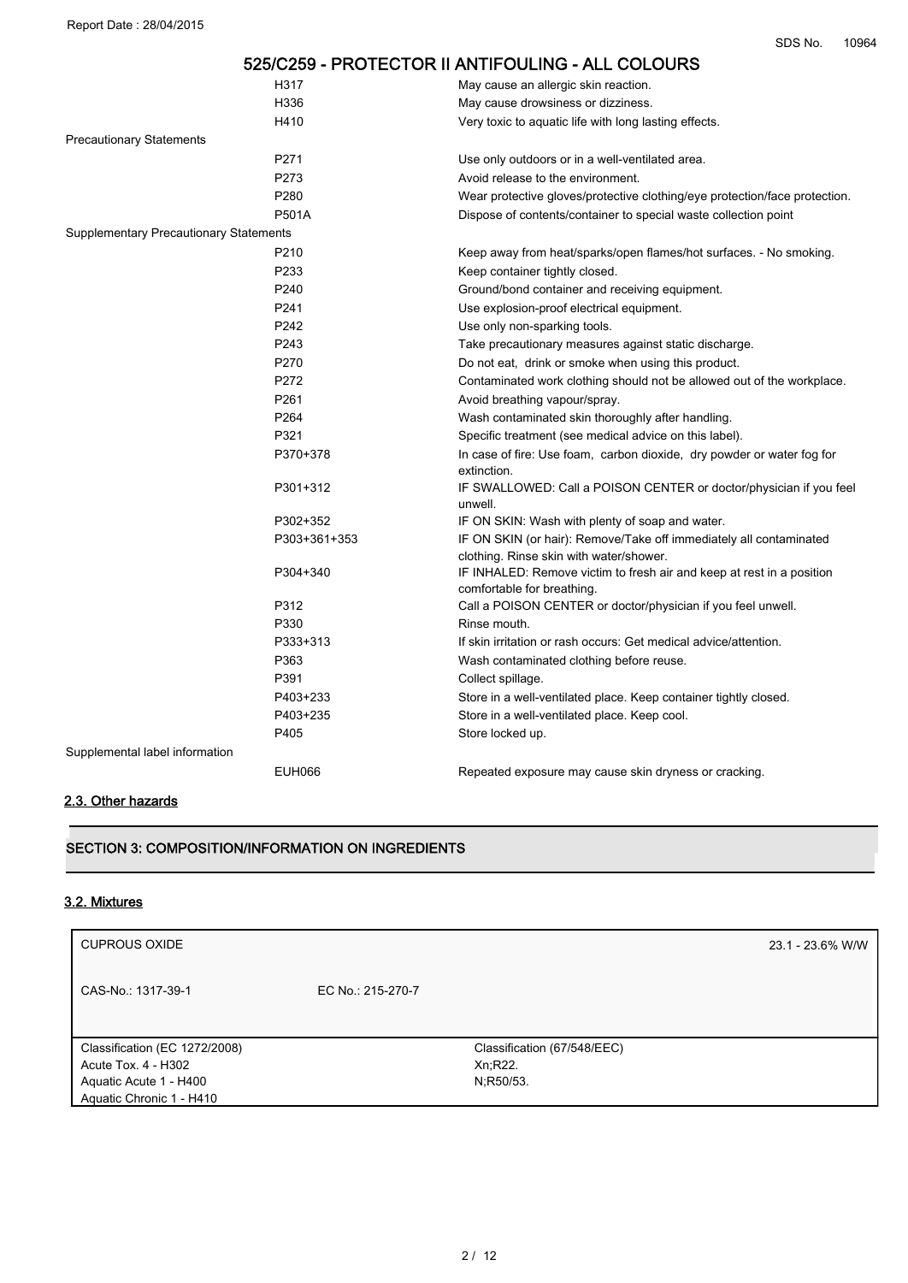|                                        |               | 525/C259 - PROTECTOR II ANTIFOULING - ALL COLOURS                                                             |
|----------------------------------------|---------------|---------------------------------------------------------------------------------------------------------------|
|                                        | H317          | May cause an allergic skin reaction.                                                                          |
|                                        | H336          | May cause drowsiness or dizziness.                                                                            |
|                                        | H410          | Very toxic to aquatic life with long lasting effects.                                                         |
| <b>Precautionary Statements</b>        |               |                                                                                                               |
|                                        | P271          | Use only outdoors or in a well-ventilated area.                                                               |
|                                        | P273          | Avoid release to the environment.                                                                             |
|                                        | P280          | Wear protective gloves/protective clothing/eye protection/face protection.                                    |
|                                        | <b>P501A</b>  | Dispose of contents/container to special waste collection point                                               |
| Supplementary Precautionary Statements |               |                                                                                                               |
|                                        | P210          | Keep away from heat/sparks/open flames/hot surfaces. - No smoking.                                            |
|                                        | P233          | Keep container tightly closed.                                                                                |
|                                        | P240          | Ground/bond container and receiving equipment.                                                                |
|                                        | P241          | Use explosion-proof electrical equipment.                                                                     |
|                                        | P242          | Use only non-sparking tools.                                                                                  |
|                                        | P243          | Take precautionary measures against static discharge.                                                         |
|                                        | P270          | Do not eat, drink or smoke when using this product.                                                           |
|                                        | P272          | Contaminated work clothing should not be allowed out of the workplace.                                        |
|                                        | P261          | Avoid breathing vapour/spray.                                                                                 |
|                                        | P264          | Wash contaminated skin thoroughly after handling.                                                             |
|                                        | P321          | Specific treatment (see medical advice on this label).                                                        |
|                                        | P370+378      | In case of fire: Use foam, carbon dioxide, dry powder or water fog for<br>extinction.                         |
|                                        | P301+312      | IF SWALLOWED: Call a POISON CENTER or doctor/physician if you feel<br>unwell.                                 |
|                                        | P302+352      | IF ON SKIN: Wash with plenty of soap and water.                                                               |
|                                        | P303+361+353  | IF ON SKIN (or hair): Remove/Take off immediately all contaminated<br>clothing. Rinse skin with water/shower. |
|                                        | P304+340      | IF INHALED: Remove victim to fresh air and keep at rest in a position<br>comfortable for breathing.           |
|                                        | P312          | Call a POISON CENTER or doctor/physician if you feel unwell.                                                  |
|                                        | P330          | Rinse mouth.                                                                                                  |
|                                        | P333+313      | If skin irritation or rash occurs: Get medical advice/attention.                                              |
|                                        | P363          | Wash contaminated clothing before reuse.                                                                      |
|                                        | P391          | Collect spillage.                                                                                             |
|                                        | P403+233      | Store in a well-ventilated place. Keep container tightly closed.                                              |
|                                        | P403+235      | Store in a well-ventilated place. Keep cool.                                                                  |
|                                        | P405          | Store locked up.                                                                                              |
| Supplemental label information         |               |                                                                                                               |
|                                        | <b>EUH066</b> | Repeated exposure may cause skin dryness or cracking.                                                         |

### 2.3. Other hazards

# SECTION 3: COMPOSITION/INFORMATION ON INGREDIENTS

## 3.2. Mixtures

| <b>CUPROUS OXIDE</b>                                 |                   |                                         | 23.1 - 23.6% W/W |
|------------------------------------------------------|-------------------|-----------------------------------------|------------------|
| CAS-No.: 1317-39-1                                   | EC No.: 215-270-7 |                                         |                  |
| Classification (EC 1272/2008)<br>Acute Tox. 4 - H302 |                   | Classification (67/548/EEC)<br>Xn, R22. |                  |
| Aquatic Acute 1 - H400<br>Aquatic Chronic 1 - H410   |                   | N;R50/53.                               |                  |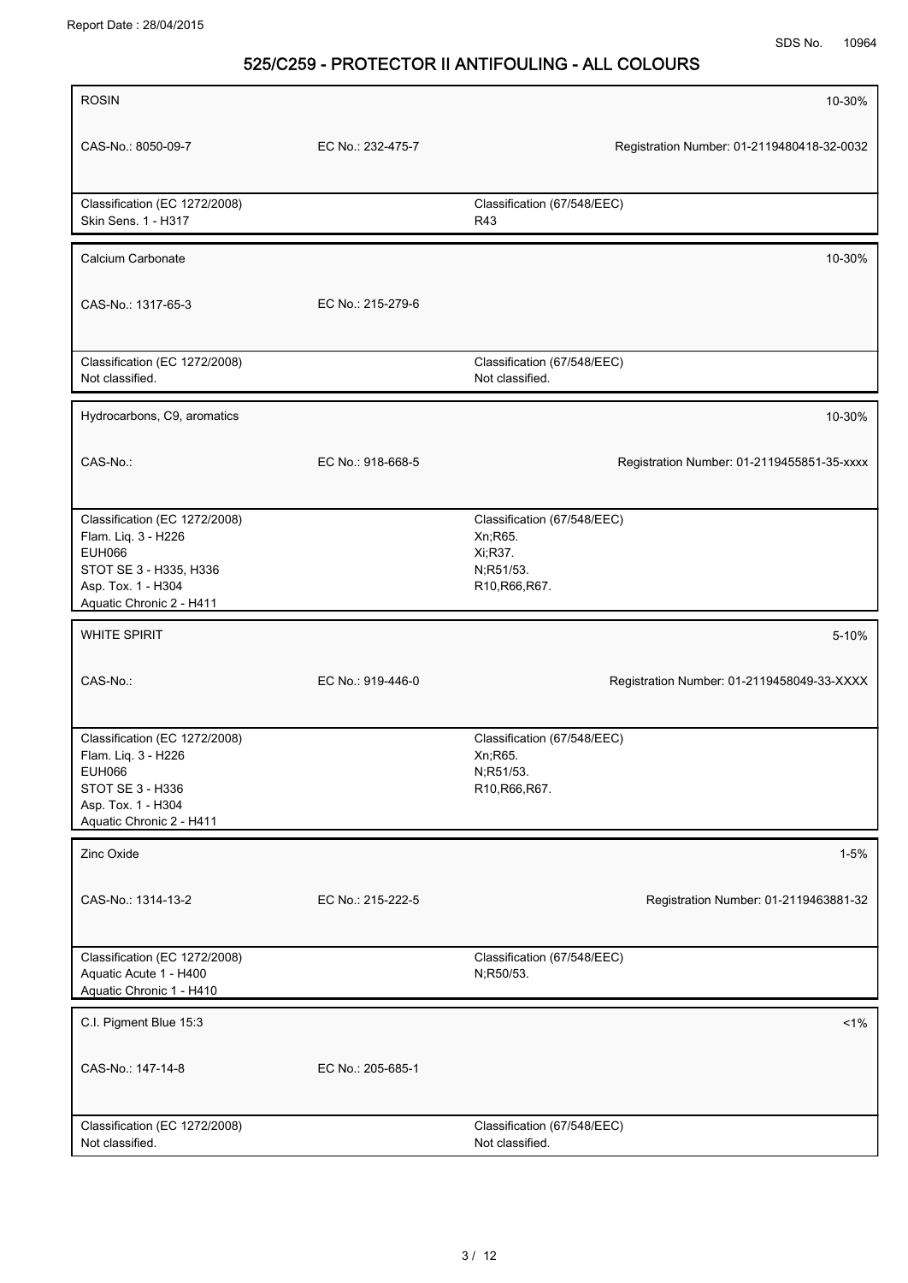| <b>ROSIN</b>                                                                                                                                      |                   | 10-30%                                                                            |
|---------------------------------------------------------------------------------------------------------------------------------------------------|-------------------|-----------------------------------------------------------------------------------|
| CAS-No.: 8050-09-7                                                                                                                                | EC No.: 232-475-7 | Registration Number: 01-2119480418-32-0032                                        |
| Classification (EC 1272/2008)<br>Skin Sens. 1 - H317                                                                                              |                   | Classification (67/548/EEC)<br>R43                                                |
| Calcium Carbonate                                                                                                                                 |                   | 10-30%                                                                            |
| CAS-No.: 1317-65-3                                                                                                                                | EC No.: 215-279-6 |                                                                                   |
| Classification (EC 1272/2008)<br>Not classified.                                                                                                  |                   | Classification (67/548/EEC)<br>Not classified.                                    |
| Hydrocarbons, C9, aromatics                                                                                                                       |                   | 10-30%                                                                            |
| CAS-No.:                                                                                                                                          | EC No.: 918-668-5 | Registration Number: 01-2119455851-35-xxxx                                        |
| Classification (EC 1272/2008)<br>Flam. Liq. 3 - H226<br><b>EUH066</b><br>STOT SE 3 - H335, H336<br>Asp. Tox. 1 - H304<br>Aquatic Chronic 2 - H411 |                   | Classification (67/548/EEC)<br>Xn, R65.<br>Xi;R37.<br>N;R51/53.<br>R10, R66, R67. |
| <b>WHITE SPIRIT</b>                                                                                                                               |                   | 5-10%                                                                             |
| CAS-No.:                                                                                                                                          | EC No.: 919-446-0 | Registration Number: 01-2119458049-33-XXXX                                        |
| Classification (EC 1272/2008)<br>Flam. Liq. 3 - H226<br><b>EUH066</b><br>STOT SE 3 - H336<br>Asp. Tox. 1 - H304<br>Aquatic Chronic 2 - H411       |                   | Classification (67/548/EEC)<br>Xn; R65.<br>N;R51/53.<br>R10, R66, R67.            |
| Zinc Oxide                                                                                                                                        |                   | $1 - 5%$                                                                          |
| CAS-No.: 1314-13-2                                                                                                                                | EC No.: 215-222-5 | Registration Number: 01-2119463881-32                                             |
| Classification (EC 1272/2008)<br>Aquatic Acute 1 - H400<br>Aquatic Chronic 1 - H410                                                               |                   | Classification (67/548/EEC)<br>N;R50/53.                                          |
| C.I. Pigment Blue 15:3                                                                                                                            |                   | $1\%$                                                                             |
| CAS-No.: 147-14-8                                                                                                                                 | EC No.: 205-685-1 |                                                                                   |
| Classification (EC 1272/2008)<br>Not classified.                                                                                                  |                   | Classification (67/548/EEC)<br>Not classified.                                    |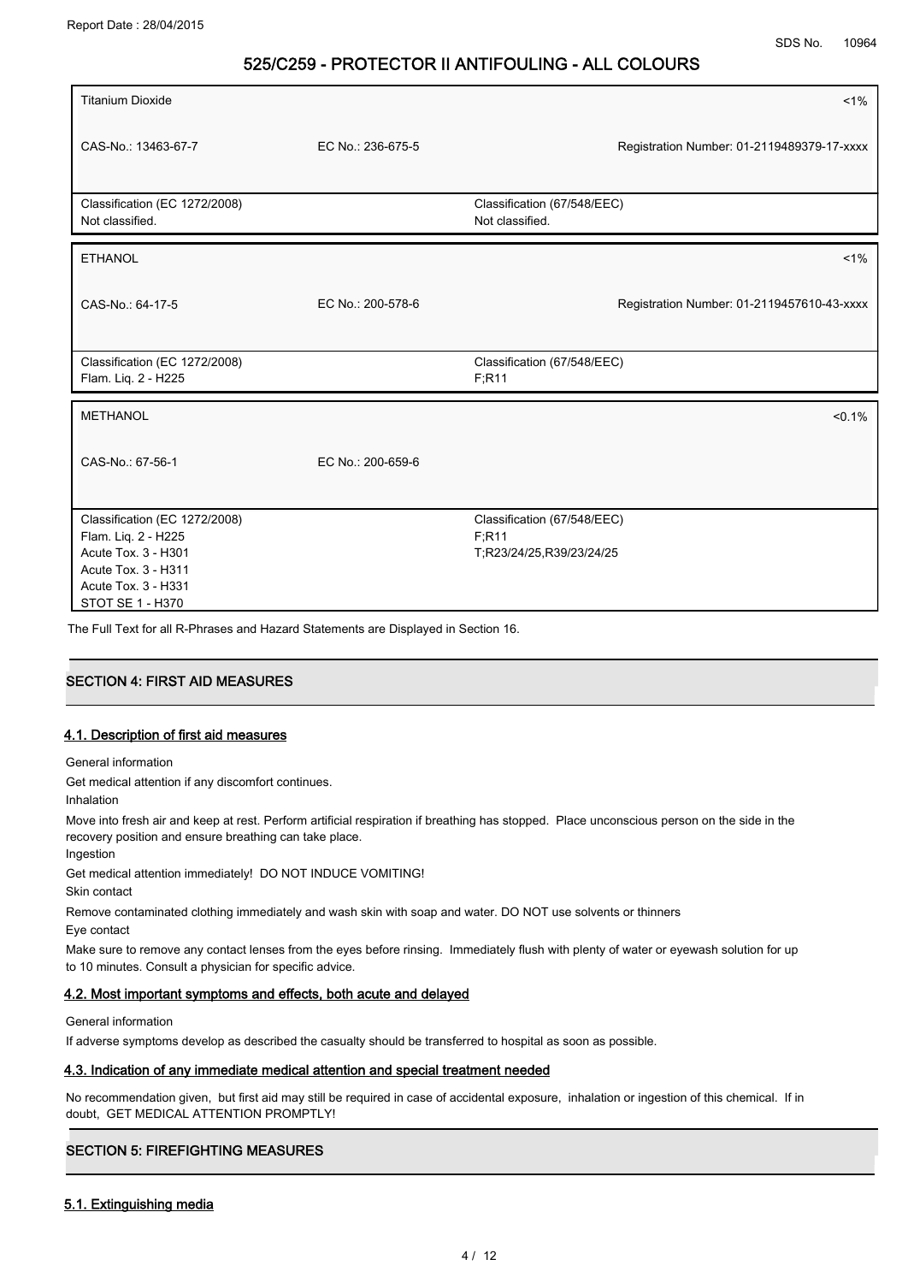| <b>Titanium Dioxide</b>                                                                                                                       |                   | $1\%$                                                            |
|-----------------------------------------------------------------------------------------------------------------------------------------------|-------------------|------------------------------------------------------------------|
| CAS-No.: 13463-67-7                                                                                                                           | EC No.: 236-675-5 | Registration Number: 01-2119489379-17-xxxx                       |
| Classification (EC 1272/2008)<br>Not classified.                                                                                              |                   | Classification (67/548/EEC)<br>Not classified.                   |
| <b>ETHANOL</b>                                                                                                                                |                   | $1\%$                                                            |
| CAS-No.: 64-17-5                                                                                                                              | EC No.: 200-578-6 | Registration Number: 01-2119457610-43-xxxx                       |
| Classification (EC 1272/2008)<br>Flam. Liq. 2 - H225                                                                                          |                   | Classification (67/548/EEC)<br>F:R11                             |
| <b>METHANOL</b>                                                                                                                               |                   | $< 0.1\%$                                                        |
| CAS-No.: 67-56-1                                                                                                                              | EC No.: 200-659-6 |                                                                  |
| Classification (EC 1272/2008)<br>Flam. Liq. 2 - H225<br>Acute Tox. 3 - H301<br>Acute Tox. 3 - H311<br>Acute Tox. 3 - H331<br>STOT SE 1 - H370 |                   | Classification (67/548/EEC)<br>F:R11<br>T;R23/24/25,R39/23/24/25 |

The Full Text for all R-Phrases and Hazard Statements are Displayed in Section 16.

# **SECTION 4: FIRST AID MEASURES**

### 4.1. Description of first aid measures

General information

Get medical attention if any discomfort continues.

Inhalation

Ingestion

Move into fresh air and keep at rest. Perform artificial respiration if breathing has stopped. Place unconscious person on the side in the recovery position and ensure breathing can take place.

Get medical attention immediately! DO NOT INDUCE VOMITING!

Skin contact

Remove contaminated clothing immediately and wash skin with soap and water. DO NOT use solvents or thinners

Eye contact

Make sure to remove any contact lenses from the eyes before rinsing. Immediately flush with plenty of water or eyewash solution for up to 10 minutes. Consult a physician for specific advice.

### 4.2. Most important symptoms and effects, both acute and delayed

General information

If adverse symptoms develop as described the casualty should be transferred to hospital as soon as possible.

#### 4.3. Indication of any immediate medical attention and special treatment needed

No recommendation given, but first aid may still be required in case of accidental exposure, inhalation or ingestion of this chemical. If in doubt, GET MEDICAL ATTENTION PROMPTLY!

# **.**<br>SECTION 5: FIREFIGHTING MEASURES

#### 5.1. Extinguishing media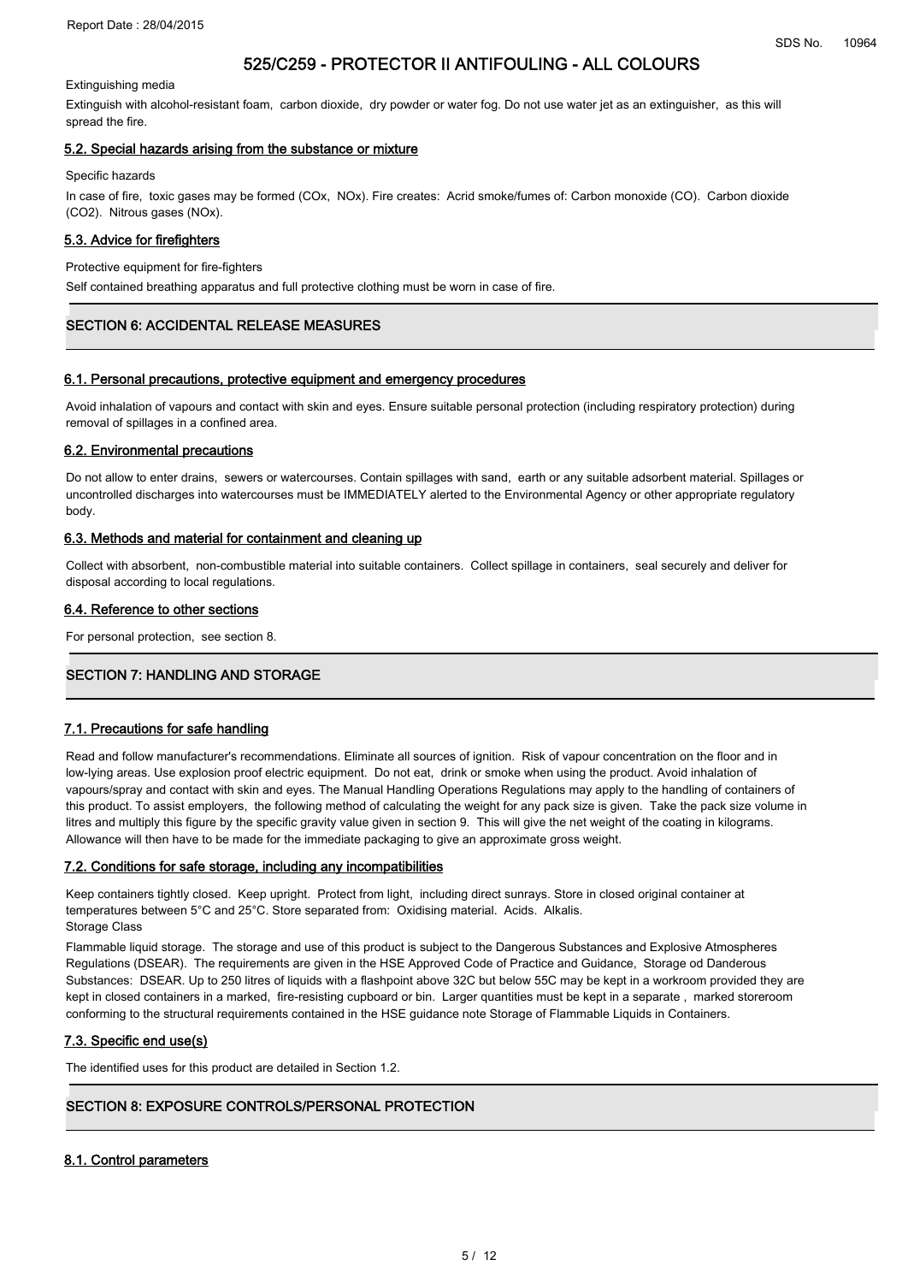#### Extinguishing media

Extinguish with alcohol-resistant foam, carbon dioxide, dry powder or water fog. Do not use water jet as an extinguisher, as this will spread the fire.

#### 5.2. Special hazards arising from the substance or mixture

#### Specific hazards

In case of fire, toxic gases may be formed (COx, NOx). Fire creates: Acrid smoke/fumes of: Carbon monoxide (CO). Carbon dioxide (CO2). Nitrous gases (NOx).

#### 5.3. Advice for firefighters

#### Protective equipment for fire-fighters

Self contained breathing apparatus and full protective clothing must be worn in case of fire.

# SECTION 6: ACCIDENTAL RELEASE MEASURES

#### 6.1. Personal precautions, protective equipment and emergency procedures

Avoid inhalation of vapours and contact with skin and eyes. Ensure suitable personal protection (including respiratory protection) during removal of spillages in a confined area.

#### 6.2. Environmental precautions

Do not allow to enter drains, sewers or watercourses. Contain spillages with sand, earth or any suitable adsorbent material. Spillages or uncontrolled discharges into watercourses must be IMMEDIATELY alerted to the Environmental Agency or other appropriate regulatory body.

#### 6.3. Methods and material for containment and cleaning up

Collect with absorbent, non-combustible material into suitable containers. Collect spillage in containers, seal securely and deliver for disposal according to local regulations.

#### 6.4. Reference to other sections

For personal protection, see section 8.

# **SECTION 7: HANDLING AND STORAGE**

#### 7.1. Precautions for safe handling

Read and follow manufacturer's recommendations. Eliminate all sources of ignition. Risk of vapour concentration on the floor and in low-lying areas. Use explosion proof electric equipment. Do not eat, drink or smoke when using the product. Avoid inhalation of vapours/spray and contact with skin and eyes. The Manual Handling Operations Regulations may apply to the handling of containers of this product. To assist employers, the following method of calculating the weight for any pack size is given. Take the pack size volume in litres and multiply this figure by the specific gravity value given in section 9. This will give the net weight of the coating in kilograms. Allowance will then have to be made for the immediate packaging to give an approximate gross weight.

#### 7.2. Conditions for safe storage, including any incompatibilities

Keep containers tightly closed. Keep upright. Protect from light, including direct sunrays. Store in closed original container at temperatures between 5°C and 25°C. Store separated from: Oxidising material. Acids. Alkalis. Storage Class

Flammable liquid storage. The storage and use of this product is subject to the Dangerous Substances and Explosive Atmospheres Regulations (DSEAR). The requirements are given in the HSE Approved Code of Practice and Guidance, Storage od Danderous Substances: DSEAR. Up to 250 litres of liquids with a flashpoint above 32C but below 55C may be kept in a workroom provided they are kept in closed containers in a marked, fire-resisting cupboard or bin. Larger quantities must be kept in a separate , marked storeroom conforming to the structural requirements contained in the HSE guidance note Storage of Flammable Liquids in Containers.

#### 7.3. Specific end use(s)

The identified uses for this product are detailed in Section 1.2.

# SECTION 8: EXPOSURE CONTROLS/PERSONAL PROTECTION

#### 8.1. Control parameters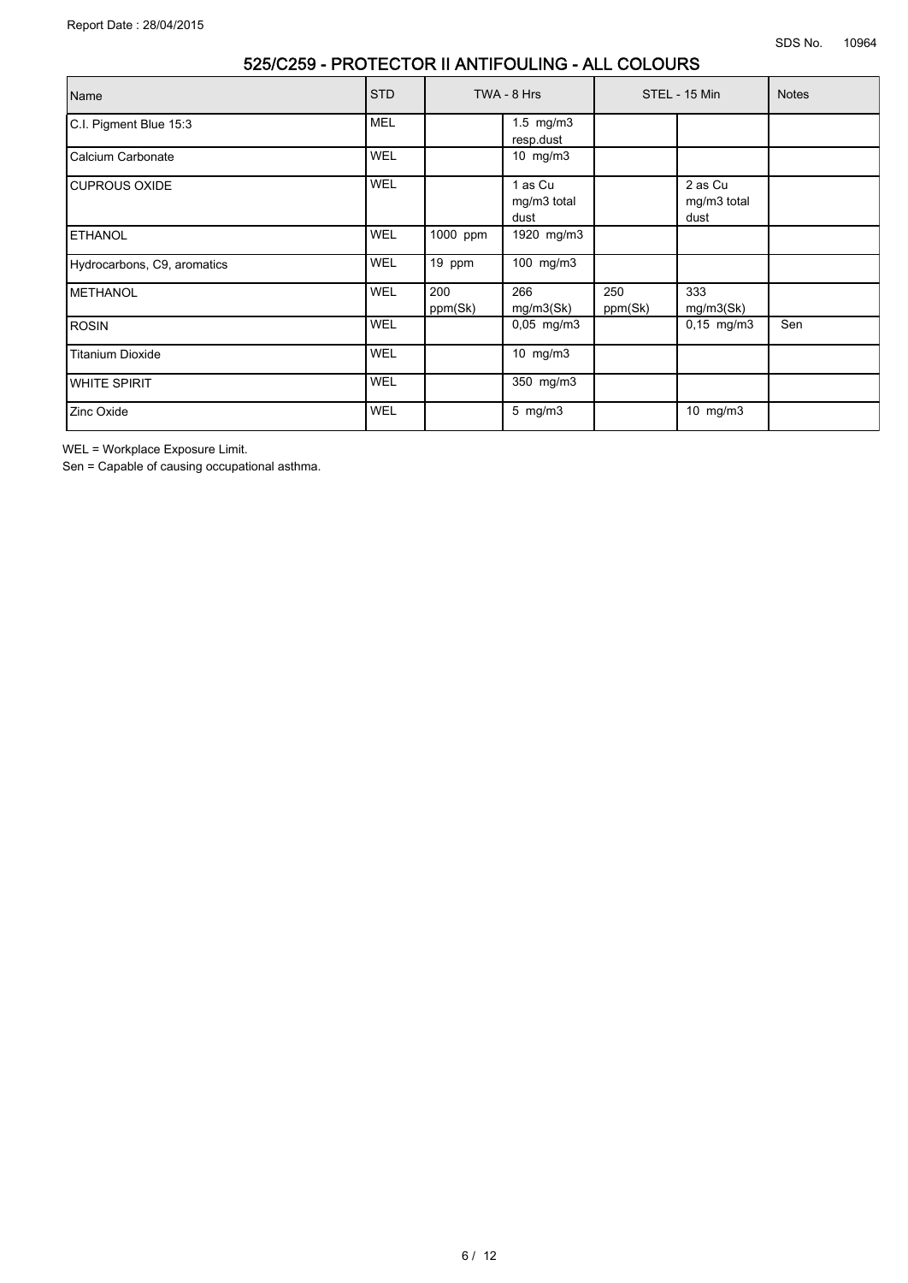| Name                        | <b>STD</b> |                | TWA - 8 Hrs                    |                | STEL - 15 Min                  | <b>Notes</b> |
|-----------------------------|------------|----------------|--------------------------------|----------------|--------------------------------|--------------|
| C.I. Pigment Blue 15:3      | <b>MEL</b> |                | $1.5$ mg/m $3$<br>resp.dust    |                |                                |              |
| Calcium Carbonate           | <b>WEL</b> |                | 10 mg/m3                       |                |                                |              |
| <b>I</b> CUPROUS OXIDE      | <b>WEL</b> |                | 1 as Cu<br>mg/m3 total<br>dust |                | 2 as Cu<br>mg/m3 total<br>dust |              |
| <b>IETHANOL</b>             | <b>WEL</b> | 1000 ppm       | 1920 mg/m3                     |                |                                |              |
| Hydrocarbons, C9, aromatics | <b>WEL</b> | 19 ppm         | 100 mg/m3                      |                |                                |              |
| <b>IMETHANOL</b>            | <b>WEL</b> | 200<br>ppm(Sk) | 266<br>mg/m3(Sk)               | 250<br>ppm(Sk) | 333<br>mg/m3(Sk)               |              |
| IROSIN                      | <b>WEL</b> |                | $0,05$ mg/m3                   |                | $0,15$ mg/m3                   | Sen          |
| Titanium Dioxide            | WEL        |                | 10 mg/m3                       |                |                                |              |
| <b>WHITE SPIRIT</b>         | WEL        |                | 350 mg/m3                      |                |                                |              |
| Zinc Oxide                  | <b>WEL</b> |                | $5$ mg/m $3$                   |                | 10 mg/m3                       |              |

WEL = Workplace Exposure Limit.

Sen = Capable of causing occupational asthma.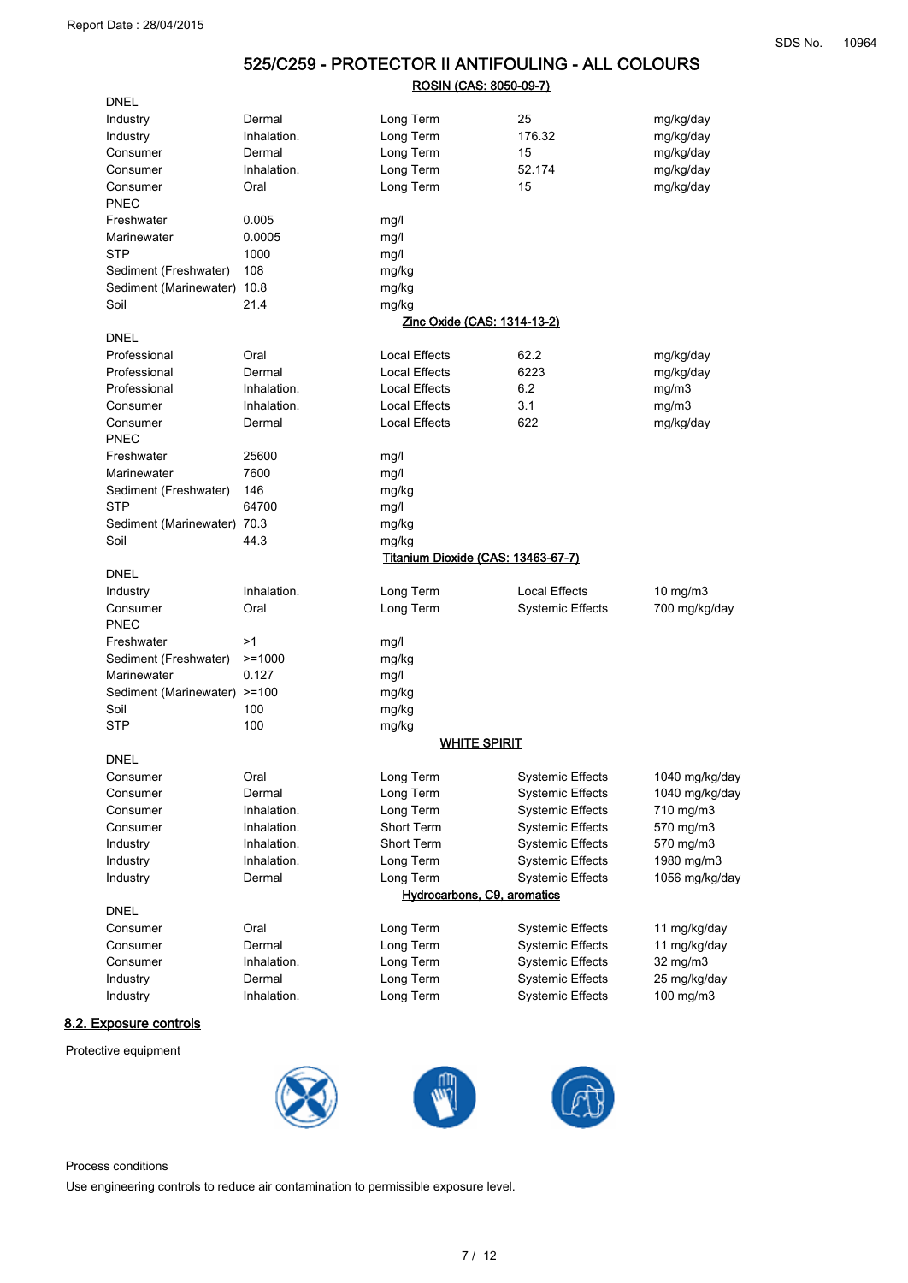## 525/C259 - PROTECTOR II ANTIFOULING - ALL COLOURS ROSIN (CAS: 8050-09-7)

| <b>DNEL</b>                  |             |                                           |                         |                |
|------------------------------|-------------|-------------------------------------------|-------------------------|----------------|
| Industry                     | Dermal      | Long Term                                 | 25                      | mg/kg/day      |
| Industry                     | Inhalation. | Long Term                                 | 176.32                  | mg/kg/day      |
| Consumer                     | Dermal      | Long Term                                 | 15                      | mg/kg/day      |
| Consumer                     | Inhalation. | Long Term                                 | 52.174                  | mg/kg/day      |
| Consumer                     | Oral        | Long Term                                 | 15                      | mg/kg/day      |
| PNEC                         |             |                                           |                         |                |
| Freshwater                   | 0.005       | mg/l                                      |                         |                |
| Marinewater                  | 0.0005      | mg/l                                      |                         |                |
| <b>STP</b>                   | 1000        | mg/l                                      |                         |                |
| Sediment (Freshwater)        | 108         | mg/kg                                     |                         |                |
| Sediment (Marinewater) 10.8  |             | mg/kg                                     |                         |                |
| Soil                         | 21.4        | mg/kg                                     |                         |                |
|                              |             | Zinc Oxide (CAS: 1314-13-2)               |                         |                |
| <b>DNEL</b>                  |             |                                           |                         |                |
| Professional                 | Oral        | <b>Local Effects</b>                      | 62.2                    | mg/kg/day      |
| Professional                 | Dermal      | <b>Local Effects</b>                      | 6223                    | mg/kg/day      |
| Professional                 | Inhalation. | <b>Local Effects</b>                      | 6.2                     | mg/m3          |
| Consumer                     | Inhalation. | Local Effects                             | 3.1                     | mg/m3          |
| Consumer                     | Dermal      | <b>Local Effects</b>                      | 622                     | mg/kg/day      |
| PNEC                         |             |                                           |                         |                |
| Freshwater                   | 25600       | mg/l                                      |                         |                |
| Marinewater                  | 7600        | mg/l                                      |                         |                |
| Sediment (Freshwater)        | 146         | mg/kg                                     |                         |                |
| <b>STP</b>                   | 64700       | mg/l                                      |                         |                |
| Sediment (Marinewater) 70.3  |             | mg/kg                                     |                         |                |
| Soil                         | 44.3        | mg/kg                                     |                         |                |
|                              |             | <b>Titanium Dioxide (CAS: 13463-67-7)</b> |                         |                |
| <b>DNEL</b>                  |             |                                           |                         |                |
| Industry                     | Inhalation. | Long Term                                 | <b>Local Effects</b>    | $10$ mg/m $3$  |
| Consumer                     | Oral        | Long Term                                 | <b>Systemic Effects</b> | 700 mg/kg/day  |
| PNEC                         |             |                                           |                         |                |
| Freshwater                   | >1          | mg/l                                      |                         |                |
| Sediment (Freshwater)        | $>=1000$    | mg/kg                                     |                         |                |
| Marinewater                  | 0.127       | mg/l                                      |                         |                |
| Sediment (Marinewater) >=100 |             | mg/kg                                     |                         |                |
| Soil                         | 100         | mg/kg                                     |                         |                |
| <b>STP</b>                   | 100         | mg/kg                                     |                         |                |
|                              |             | <b>WHITE SPIRIT</b>                       |                         |                |
| <b>DNEL</b>                  |             |                                           |                         |                |
| Consumer                     | Oral        | Long Term                                 | <b>Systemic Effects</b> | 1040 mg/kg/day |
| Consumer                     | Dermal      | Long Term                                 | <b>Systemic Effects</b> | 1040 mg/kg/day |
| Consumer                     | Inhalation. | Long Term                                 | <b>Systemic Effects</b> | 710 mg/m3      |
| Consumer                     | Inhalation. | Short Term                                | <b>Systemic Effects</b> | 570 mg/m3      |
| Industry                     | Inhalation. | Short Term                                | <b>Systemic Effects</b> | 570 mg/m3      |
| Industry                     | Inhalation. | Long Term                                 | <b>Systemic Effects</b> | 1980 mg/m3     |
| Industry                     | Dermal      | Long Term                                 | <b>Systemic Effects</b> | 1056 mg/kg/day |
|                              |             | Hydrocarbons, C9, aromatics               |                         |                |
| <b>DNEL</b>                  |             |                                           |                         |                |
| Consumer                     | Oral        | Long Term                                 | <b>Systemic Effects</b> | 11 mg/kg/day   |
| Consumer                     | Dermal      | Long Term                                 | <b>Systemic Effects</b> | 11 mg/kg/day   |
| Consumer                     | Inhalation. | Long Term                                 | <b>Systemic Effects</b> | 32 mg/m3       |
| Industry                     | Dermal      | Long Term                                 | <b>Systemic Effects</b> | 25 mg/kg/day   |
| Industry                     | Inhalation. | Long Term                                 | <b>Systemic Effects</b> | 100 mg/m3      |
|                              |             |                                           |                         |                |

### 8.2. Exposure controls

Protective equipment



Process conditions

Use engineering controls to reduce air contamination to permissible exposure level.

7 / 12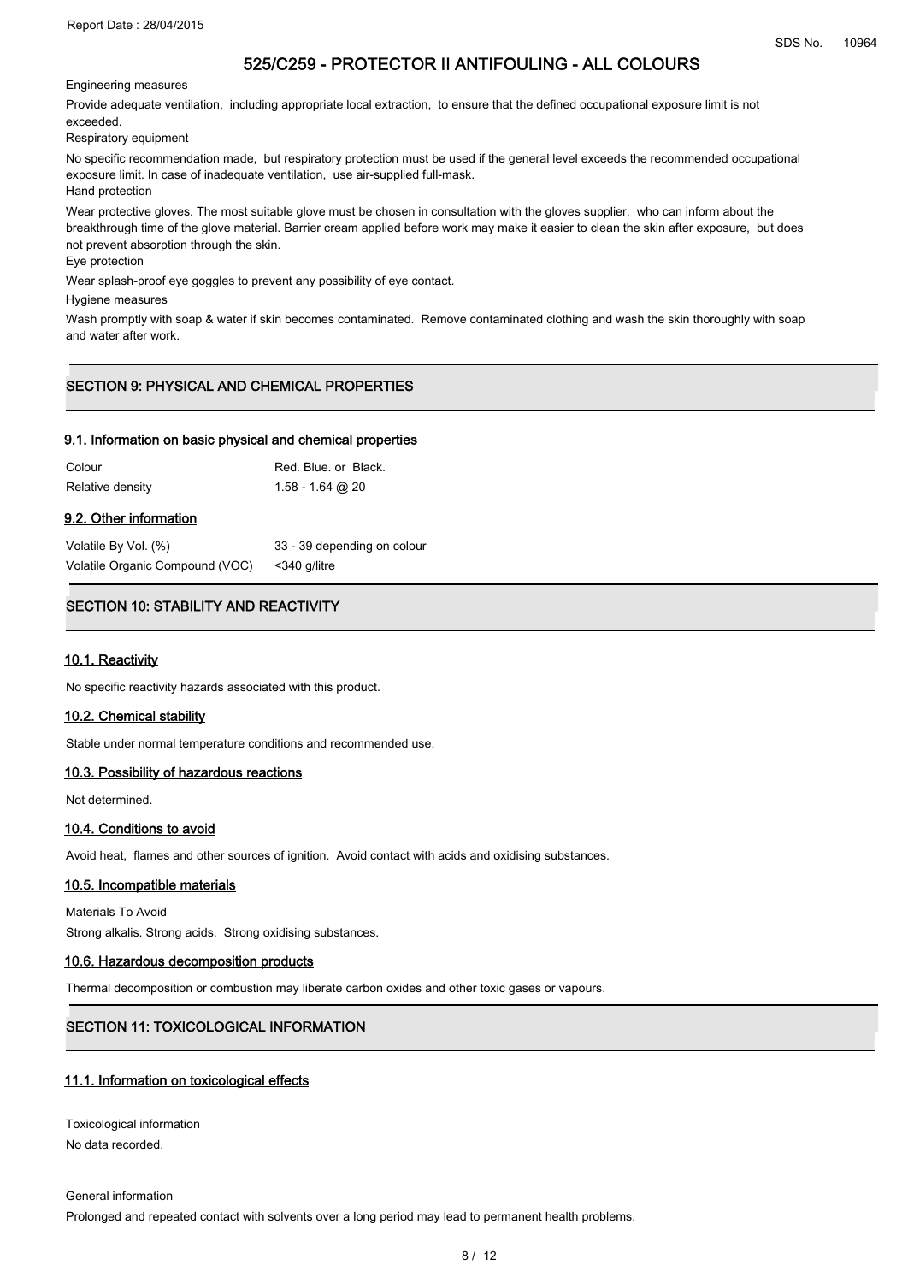Engineering measures

Provide adequate ventilation, including appropriate local extraction, to ensure that the defined occupational exposure limit is not exceeded.

Respiratory equipment

No specific recommendation made, but respiratory protection must be used if the general level exceeds the recommended occupational exposure limit. In case of inadequate ventilation, use air-supplied full-mask. Hand protection

Wear protective gloves. The most suitable glove must be chosen in consultation with the gloves supplier, who can inform about the breakthrough time of the glove material. Barrier cream applied before work may make it easier to clean the skin after exposure, but does not prevent absorption through the skin.

Eye protection

Wear splash-proof eye goggles to prevent any possibility of eye contact.

Hygiene measures

Wash promptly with soap & water if skin becomes contaminated. Remove contaminated clothing and wash the skin thoroughly with soap and water after work.

# SECTION 9: PHYSICAL AND CHEMICAL PROPERTIES

#### 9.1. Information on basic physical and chemical properties

| Colour           | Red. Blue. or Black. |
|------------------|----------------------|
| Relative density | $1.58 - 1.64$ @ 20   |

#### 9.2. Other information

| Volatile By Vol. (%)            | 33 - 39 depending on colour |
|---------------------------------|-----------------------------|
| Volatile Organic Compound (VOC) | <340 a/litre                |

# SECTION 10: STABILITY AND REACTIVITY

#### 10.1. Reactivity

No specific reactivity hazards associated with this product.

#### 10.2. Chemical stability

Stable under normal temperature conditions and recommended use.

#### 10.3. Possibility of hazardous reactions

Not determined.

#### 10.4. Conditions to avoid

Avoid heat, flames and other sources of ignition. Avoid contact with acids and oxidising substances.

#### 10.5. Incompatible materials

Materials To Avoid Strong alkalis. Strong acids. Strong oxidising substances.

#### 10.6. Hazardous decomposition products

Thermal decomposition or combustion may liberate carbon oxides and other toxic gases or vapours.

# SECTION 11: TOXICOLOGICAL INFORMATION

#### 11.1. Information on toxicological effects

Toxicological information No data recorded.

General information

Prolonged and repeated contact with solvents over a long period may lead to permanent health problems.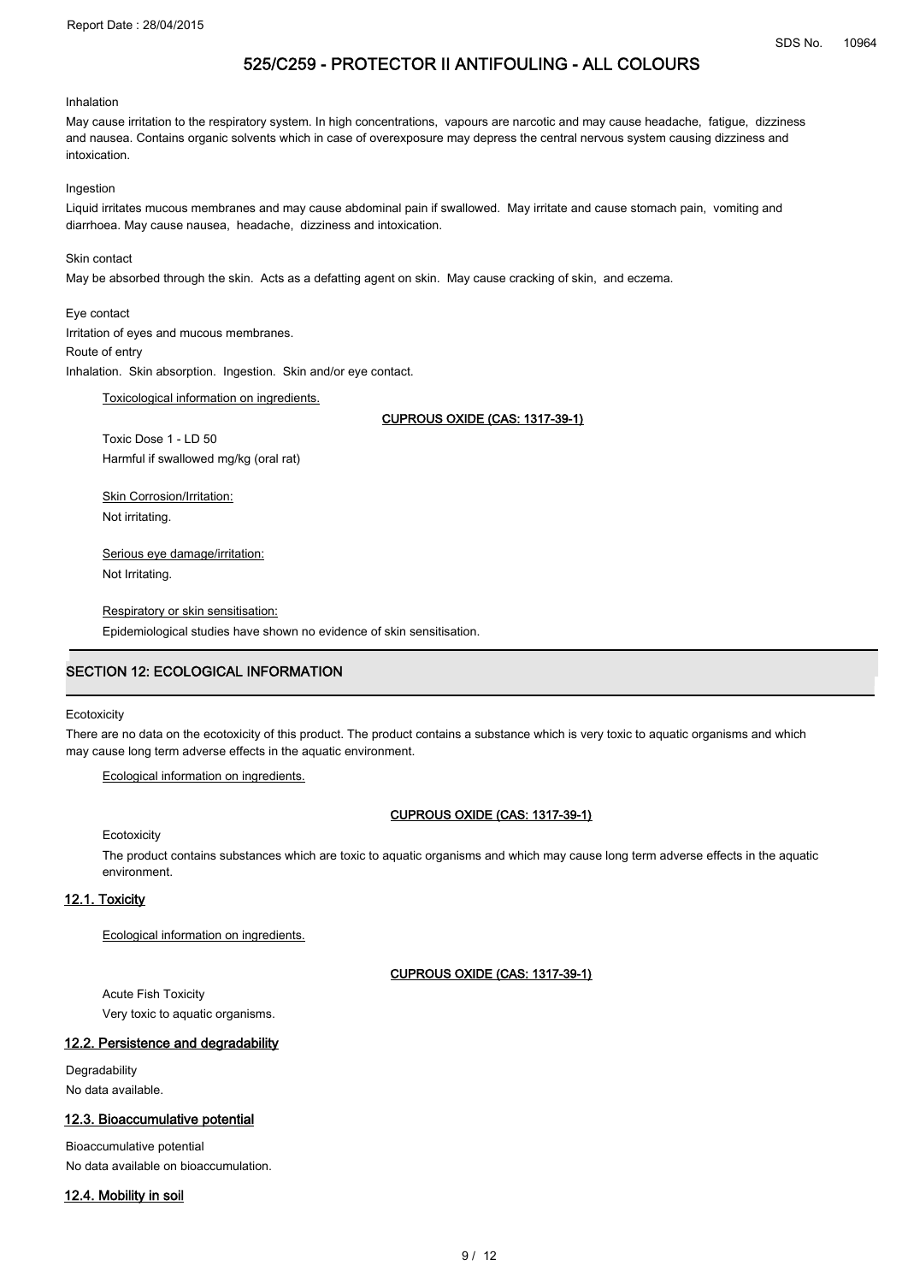#### Inhalation

May cause irritation to the respiratory system. In high concentrations, vapours are narcotic and may cause headache, fatigue, dizziness and nausea. Contains organic solvents which in case of overexposure may depress the central nervous system causing dizziness and intoxication.

#### Ingestion

Liquid irritates mucous membranes and may cause abdominal pain if swallowed. May irritate and cause stomach pain, vomiting and diarrhoea. May cause nausea, headache, dizziness and intoxication.

### Skin contact

May be absorbed through the skin. Acts as a defatting agent on skin. May cause cracking of skin, and eczema.

#### Eye contact

Irritation of eyes and mucous membranes. Route of entry Inhalation. Skin absorption. Ingestion. Skin and/or eye contact.

Toxicological information on ingredients.

CUPROUS OXIDE (CAS: 1317-39-1)

Toxic Dose 1 - LD 50 Harmful if swallowed mg/kg (oral rat)

**Skin Corrosion/Irritation:** Not irritating.

Serious eye damage/irritation: Not Irritating.

Respiratory or skin sensitisation: Epidemiological studies have shown no evidence of skin sensitisation.

# **SECTION 12: ECOLOGICAL INFORMATION**

#### **Ecotoxicity**

There are no data on the ecotoxicity of this product. The product contains a substance which is very toxic to aquatic organisms and which may cause long term adverse effects in the aquatic environment.

Ecological information on ingredients.

#### CUPROUS OXIDE (CAS: 1317-39-1)

Ecotoxicity

The product contains substances which are toxic to aquatic organisms and which may cause long term adverse effects in the aquatic environment.

#### 12.1. Toxicity

Ecological information on ingredients.

#### CUPROUS OXIDE (CAS: 1317-39-1)

Acute Fish Toxicity Very toxic to aquatic organisms.

#### 12.2. Persistence and degradability

**Degradability** No data available.

#### 12.3. Bioaccumulative potential

Bioaccumulative potential No data available on bioaccumulation.

#### 12.4. Mobility in soil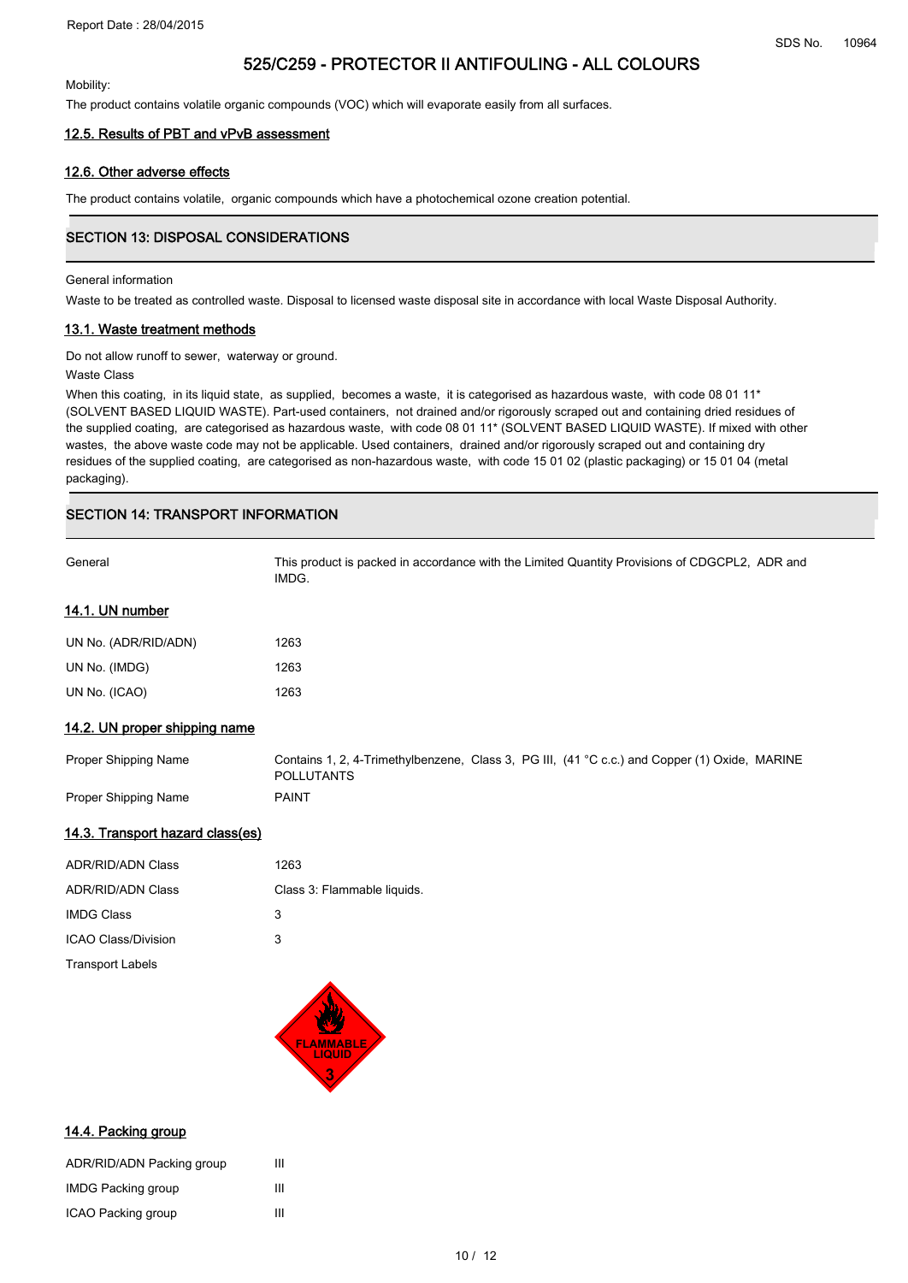Mobility:

The product contains volatile organic compounds (VOC) which will evaporate easily from all surfaces.

#### 12.5. Results of PBT and vPvB assessment

#### 12.6. Other adverse effects

The product contains volatile, organic compounds which have a photochemical ozone creation potential.

# SECTION 13: DISPOSAL CONSIDERATIONS

### General information

Waste to be treated as controlled waste. Disposal to licensed waste disposal site in accordance with local Waste Disposal Authority.

#### 13.1. Waste treatment methods

Do not allow runoff to sewer, waterway or ground.

#### Waste Class

When this coating, in its liquid state, as supplied, becomes a waste, it is categorised as hazardous waste, with code 08 01 11\* (SOLVENT BASED LIQUID WASTE). Part-used containers, not drained and/or rigorously scraped out and containing dried residues of the supplied coating, are categorised as hazardous waste, with code 08 01 11\* (SOLVENT BASED LIQUID WASTE). If mixed with other wastes, the above waste code may not be applicable. Used containers, drained and/or rigorously scraped out and containing dry residues of the supplied coating, are categorised as non-hazardous waste, with code 15 01 02 (plastic packaging) or 15 01 04 (metal packaging).

# .<br>SECTION 14: TRANSPORT INFORMATION

| General                         | This product is packed in accordance with the Limited Quantity Provisions of CDGCPL2, ADR and<br>IMDG.             |
|---------------------------------|--------------------------------------------------------------------------------------------------------------------|
| <u>14.1. UN number</u>          |                                                                                                                    |
| UN No. (ADR/RID/ADN)            | 1263                                                                                                               |
| UN No. (IMDG)                   | 1263                                                                                                               |
| UN No. (ICAO)                   | 1263                                                                                                               |
| 14.2. UN proper shipping name   |                                                                                                                    |
| Proper Shipping Name            | Contains 1, 2, 4-Trimethylbenzene, Class 3, PG III, (41 °C c.c.) and Copper (1) Oxide, MARINE<br><b>POLLUTANTS</b> |
| Proper Shipping Name            | <b>PAINT</b>                                                                                                       |
| 440 Terresettered de la de la f |                                                                                                                    |

#### 14.3. Transport hazard class(es)

| <b>ADR/RID/ADN Class</b> | 1263                        |
|--------------------------|-----------------------------|
| <b>ADR/RID/ADN Class</b> | Class 3: Flammable liquids. |
| <b>IMDG Class</b>        | 3                           |
| ICAO Class/Division      | 3                           |
| <b>Transport Labels</b>  |                             |



#### 14.4. Packing group

| ADR/RID/ADN Packing group | Ш |
|---------------------------|---|
| <b>IMDG Packing group</b> | ш |
| ICAO Packing group        | Ш |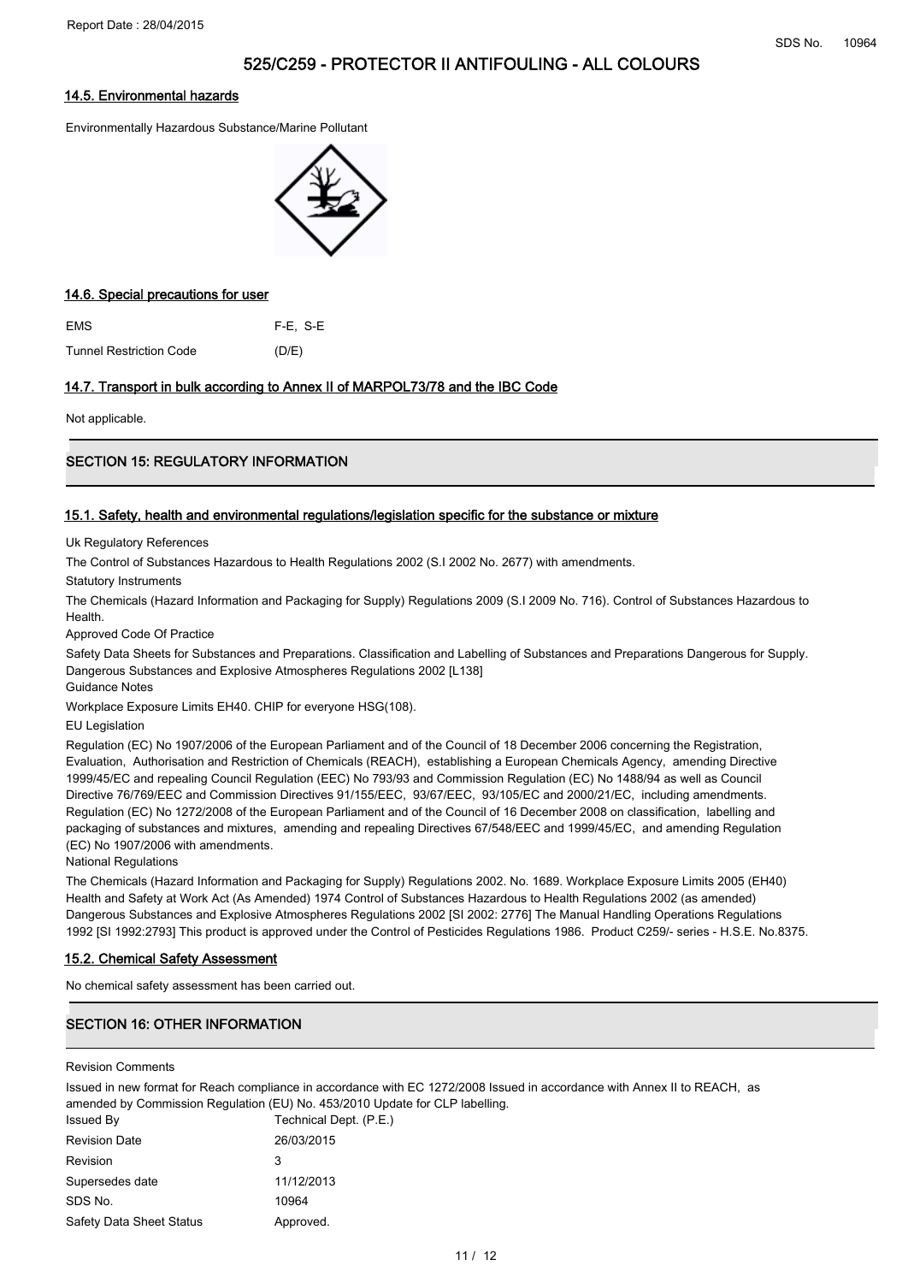#### 14.5. Environmental hazards

Environmentally Hazardous Substance/Marine Pollutant



#### 14.6. Special precautions for user

EMS F-E, S-E Tunnel Restriction Code (D/E)

### 14.7. Transport in bulk according to Annex II of MARPOL73/78 and the IBC Code

Not applicable.

# SECTION 15: REGULATORY INFORMATION

#### 15.1. Safety, health and environmental regulations/legislation specific for the substance or mixture

Uk Regulatory References

The Control of Substances Hazardous to Health Regulations 2002 (S.I 2002 No. 2677) with amendments.

Statutory Instruments

The Chemicals (Hazard Information and Packaging for Supply) Regulations 2009 (S.I 2009 No. 716). Control of Substances Hazardous to **Health** 

Approved Code Of Practice

Safety Data Sheets for Substances and Preparations. Classification and Labelling of Substances and Preparations Dangerous for Supply. Dangerous Substances and Explosive Atmospheres Regulations 2002 [L138]

Guidance Notes

Workplace Exposure Limits EH40. CHIP for everyone HSG(108).

EU Legislation

Regulation (EC) No 1907/2006 of the European Parliament and of the Council of 18 December 2006 concerning the Registration, Evaluation, Authorisation and Restriction of Chemicals (REACH), establishing a European Chemicals Agency, amending Directive 1999/45/EC and repealing Council Regulation (EEC) No 793/93 and Commission Regulation (EC) No 1488/94 as well as Council Directive 76/769/EEC and Commission Directives 91/155/EEC, 93/67/EEC, 93/105/EC and 2000/21/EC, including amendments. Regulation (EC) No 1272/2008 of the European Parliament and of the Council of 16 December 2008 on classification, labelling and packaging of substances and mixtures, amending and repealing Directives 67/548/EEC and 1999/45/EC, and amending Regulation (EC) No 1907/2006 with amendments.

National Regulations

The Chemicals (Hazard Information and Packaging for Supply) Regulations 2002. No. 1689. Workplace Exposure Limits 2005 (EH40) Health and Safety at Work Act (As Amended) 1974 Control of Substances Hazardous to Health Regulations 2002 (as amended) Dangerous Substances and Explosive Atmospheres Regulations 2002 [SI 2002: 2776] The Manual Handling Operations Regulations 1992 [SI 1992:2793] This product is approved under the Control of Pesticides Regulations 1986. Product C259/- series - H.S.E. No.8375.

### 15.2. Chemical Safety Assessment

No chemical safety assessment has been carried out.

# **SECTION 16: OTHER INFORMATION**

Revision Comments

Issued in new format for Reach compliance in accordance with EC 1272/2008 Issued in accordance with Annex II to REACH, as amended by Commission Regulation (EU) No. 453/2010 Update for CLP labelling. Issued By Technical Dept. (P.E.) Revision Date 26/03/2015 Revision 3 Supersedes date 11/12/2013 SDS No. 10964 Safety Data Sheet Status **Approved.**